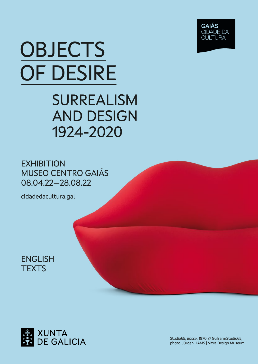

# **OBJECTS** OF DESIRE

### SURREALISM AND DESIGN 1924-2020

**EXHIBITION** MUSEO CENTRO GAIÁS 08.04.22—28.08.22

cidadedacultura.gal

ENGLISH **TEXTS** 



Studio65, *Bocca*, 1970 © Gufram/Studio65, photo: Jürgen HAMS | Vitra Design Museum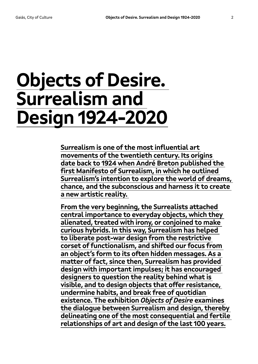## **Objects of Desire. Surrealism and Design 1924-2020**

**Surrealism is one of the most influential art movements of the twentieth century. Its origins date back to 1924 when André Breton published the first Manifesto of Surrealism, in which he outlined Surrealism's intention to explore the world of dreams, chance, and the subconscious and harness it to create a new artistic reality.** 

**From the very beginning, the Surrealists attached central importance to everyday objects, which they alienated, treated with irony, or conjoined to make curious hybrids. In this way, Surrealism has helped to liberate post-war design from the restrictive corset of functionalism, and shifted our focus from an object's form to its often hidden messages. As a matter of fact, since then, Surrealism has provided design with important impulses; it has encouraged designers to question the reality behind what is visible, and to design objects that offer resistance, undermine habits, and break free of quotidian existence. The exhibition** *Objects of Desire* **examines the dialogue between Surrealism and design, thereby delineating one of the most consequential and fertile relationships of art and design of the last 100 years.**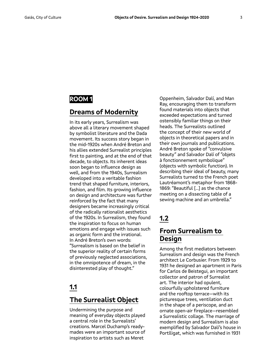#### **ROOM 1**

#### **Dreams of Modernity**

In its early years, Surrealism was above all a literary movement shaped by symbolist literature and the Dada movement. Its success story began in the mid-1920s when André Breton and his allies extended Surrealist principles first to painting, and at the end of that decade, to objects. Its inherent ideas soon began to influence design as well, and from the 1940s, Surrealism developed into a veritable fashion trend that shaped furniture, interiors, fashion, and film. Its growing influence on design and architecture was further reinforced by the fact that many designers became increasingly critical of the radically rationalist aesthetics of the 1920s. In Surrealism, they found the inspiration to focus on human emotions and engage with issues such as organic form and the irrational. In André Breton's own words: "Surrealism is based on the belief in the superior reality of certain forms of previously neglected associations, in the omnipotence of dream, in the disinterested play of thought."

#### **1.1**

#### **The Surrealist Object**

Undermining the purpose and meaning of everyday objects played a central role in the Surrealists' creations. Marcel Duchamp's readymades were an important source of inspiration to artists such as Meret

Oppenheim, Salvador Dalí, and Man Ray, encouraging them to transform found materials into objects that exceeded expectations and turned ostensibly familiar things on their heads. The Surrealists outlined the concept of their new world of objects in theoretical papers and in their own journals and publications. André Breton spoke of "convulsive beauty" and Salvador Dalí of "objets à fonctionnement symbolique" (objects with symbolic function). In describing their ideal of beauty, many Surrealists turned to the French poet Lautréamont's metaphor from 1868- 1869: "Beautiful […] as the chance meeting on a dissecting table of a sewing machine and an umbrella."

#### **1.2**

#### **From Surrealism to Design**

Among the first mediators between Surrealism and design was the French architect Le Corbusier. From 1929 to 1931 he designed an apartment in Paris for Carlos de Beistegui, an important collector and patron of Surrealist art. The interior had opulent, colourfully upholstered furniture and the rooftop terrace—with its picturesque trees, ventilation duct in the shape of a periscope, and an ornate open-air fireplace—resembled a Surrealistic collage. The marriage of modern design and Surrealism is also exemplified by Salvador Dalí's house in Portlligat, which was furnished in 1931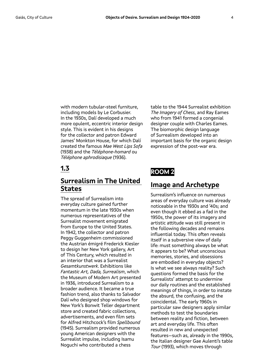with modern tubular-steel furniture, including models by Le Corbusier. In the 1930s, Dalí developed a much more opulent, eccentric interior design style. This is evident in his designs for the collector and patron Edward James' Monkton House, for which Dalí created the famous *Mae West Lips Sofa* (1938) and the *Téléphone-homard* ou *Téléphone aphrodisiaque* (1936).

#### **1.3**

#### **Surrealism in The United States**

The spread of Surrealism into everyday culture gained further momentum in the late 1930s when numerous representatives of the Surrealist movement emigrated from Europe to the United States. In 1942, the collector and patron Peggy Guggenheim commissioned the Austrian émigré Frederick Kiesler to design her New York gallery, Art of This Century, which resulted in an interior that was a Surrealist *Gesamtkunstwerk*. Exhibitions like *Fantastic Art, Dada, Surrealism*, which the Museum of Modern Art presented in 1936, introduced Surrealism to a broader audience. It became a true fashion trend, also thanks to Salvador Dalí who designed shop windows for New York's Bonwit Teller department store and created fabric collections, advertisements, and even film sets for Alfred Hitchcock's film *Spellbound* (1945). Surrealism provided numerous young American designers with the Surrealist impulse, including Isamu Noguchi who contributed a chess

table to the 1944 Surrealist exhibition *The Imagery of Chess*, and Ray Eames who from 1941 formed a congenial designer couple with Charles Eames. The biomorphic design language of Surrealism developed into an important basis for the organic design expression of the post-war era.

#### **ROOM 2**

#### **Image and Archetype**

Surrealism's influence on numerous areas of everyday culture was already noticeable in the 1930s and '40s; and even though it ebbed as a fad in the 1950s, the power of its imagery and artistic attitude was still present in the following decades and remains influential today. This often reveals itself in a subversive view of daily life: must something always be what it appears to be? What unconscious memories, stories, and obsessions are embodied in everyday objects? Is what we see always reality? Such questions formed the basis for the Surrealists' attempt to undermine our daily routines and the established meanings of things, in order to instate the absurd, the confusing, and the coincidental. The early 1960s in particular saw designers apply similar methods to test the boundaries between reality and fiction, between art and everyday life. This often resulted in new and unexpected features—such as, already in the 1990s, the Italian designer Gae Aulenti's table *Tour* (1993), which moves through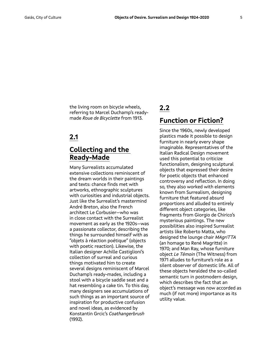the living room on bicycle wheels, referring to Marcel Duchamp's readymade *Roue de Bicyclette* from 1913.

#### **2.1**

#### **Collecting and the Ready-Made**

Many Surrealists accumulated extensive collections reminiscent of the dream worlds in their paintings and texts: chance finds met with artworks, ethnographic sculptures with curiosities and industrial objects. Just like the Surrealist's mastermind André Breton, also the French architect Le Corbusier—who was in close contact with the Surrealist movement as early as the 1920s—was a passionate collector, describing the things he surrounded himself with as "objets à réaction poétique" (objects with poetic reaction). Likewise, the Italian designer Achille Castiglioni's collection of surreal and curious things motivated him to create several designs reminiscent of Marcel Duchamp's ready-mades, including a stool with a bicycle saddle seat and a hat resembling a cake tin. To this day, many designers see accumulations of such things as an important source of inspiration for productive confusion and novel ideas, as evidenced by Konstantin Grcic's *Coathangerbrush* (1992).

#### **2.2 Function or Fiction?**

Since the 1960s, newly developed plastics made it possible to design furniture in nearly every shape imaginable. Representatives of the Italian Radical Design movement used this potential to criticize functionalism, designing sculptural objects that expressed their desire for poetic objects that enhanced controversy and reflection. In doing so, they also worked with elements known from Surrealism, designing furniture that featured absurd proportions and alluded to entirely different object categories, like fragments from Giorgio de Chirico's mysterious paintings. The new possibilities also inspired Surrealist artists like Roberto Matta, who designed the lounge chair *MAgriTTA* (an homage to René Magritte) in 1970; and Man Ray, whose furniture object *Le Témoin* (The Witness) from 1971 alludes to furniture's role as a silent observer of domestic life. All of these objects heralded the so-called semantic turn in postmodern design, which describes the fact that an object's message was now accorded as much (if not more) importance as its utility value.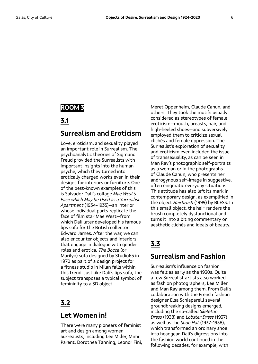#### **ROOM 3**

#### **3.1**

#### **Surrealism and Eroticism**

Love, eroticism, and sexuality played an important role in Surrealism. The psychoanalytic theories of Sigmund Freud provided the Surrealists with important insights into the human psyche, which they turned into erotically charged works even in their designs for interiors or furniture. One of the best-known examples of this is Salvador Dalí's collage *Mae West's Face which May be Used as a Surrealist Apartment* (1934-1935)—an interior whose individual parts replicate the face of film star Mae West—from which Dalí later developed his famous lips sofa for the British collector Edward James. After the war, we can also encounter objects and interiors that engage in dialogue with gender roles and erotica. *The Bocca* (or Marilyn) sofa designed by Studio65 in 1970 as part of a design project for a fitness studio in Milan falls within this trend. Just like Dalí's lips sofa, the subject transposes a typical symbol of femininity to a 3D object.

#### **3.2**

#### **Let Women in!**

There were many pioneers of feminist art and design among women Surrealists, including Lee Miller, Mimi Parent, Dorothea Tanning, Leonor Fini, Meret Oppenheim, Claude Cahun, and others. They took the motifs usually considered as stereotypes of female eroticism—mouth, breasts, hair, and high-heeled shoes—and subversively employed them to criticize sexual clichés and female oppression. The Surrealist's exploration of sexuality and eroticism even included the issue of transsexuality, as can be seen in Man Ray's photographic self-portraits as a woman or in the photographs of Claude Cahun, who presents her androgynous self-image in suggestive, often enigmatic everyday situations. This attitude has also left its mark in contemporary design, as exemplified in the object *Hairbrush* (1999) by BLESS. In this small object, the hair renders the brush completely dysfunctional and turns it into a biting commentary on aesthetic clichés and ideals of beauty.

#### **3.3**

#### **Surrealism and Fashion**

Surrealism's influence on fashion was felt as early as the 1930s. Quite a few Surrealist artists also worked as fashion photographers, Lee Miller and Man Ray among them. From Dalí's collaboration with the French fashion designer Elsa Schiaparelli several groundbreaking designs emerged, including the so-called *Skeleton Dress* (1938) and *Lobster Dress* (1937) as well as the *Shoe Hat* (1937-1938), which transformed an ordinary shoe into headgear. Dalí's digressions into the fashion world continued in the following decades; for example, with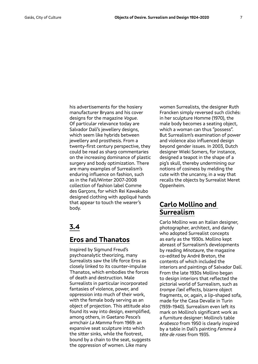his advertisements for the hosiery manufacturer Bryans and his cover designs for the magazine *Vogue*. Of particular relevance today are Salvador Dalí's jewellery designs, which seem like hybrids between jewellery and prosthesis. From a twenty-first century perspective, they could be read as sharp commentaries on the increasing dominance of plastic surgery and body optimization. There are many examples of Surrealism's enduring influence on fashion, such as in the Fall/Winter 2007-2008 collection of fashion label Comme des Garçons, for which Rei Kawakubo designed clothing with appliqué hands that appear to touch the wearer's body.

#### **3.4**

#### **Eros and Thanatos**

Inspired by Sigmund Freud's psychoanalytic theorizing, many Surrealists saw the life force Eros as closely linked to its counter-impulse Thanatos, which embodies the forces of death and destruction. Male Surrealists in particular incorporated fantasies of violence, power, and oppression into much of their work, with the female body serving as an object of projection. This attitude also found its way into design, exemplified, among others, in Gaetano Pesce's armchair *La Mamma* from 1969: an expansive seat sculpture into which the sitter sinks, while the footrest, bound by a chain to the seat, suggests the oppression of women. Like many

women Surrealists, the designer Ruth Francken simply reversed such clichés: in her sculpture Homme (1970), the male body becomes a seating object, which a woman can thus "possess". But Surrealism's examination of power and violence also influenced design beyond gender issues. In 2003, Dutch designer Wieki Somers, for instance, designed a teapot in the shape of a pig's skull, thereby undermining our notions of cosiness by melding the cute with the uncanny, in a way that recalls the objects by Surrealist Meret Oppenheim.

#### **Carlo Mollino and Surrealism**

Carlo Mollino was an Italian designer, photographer, architect, and dandy who adopted Surrealist concepts as early as the 1930s. Mollino kept abreast of Surrealism's developments by reading *Minotaure*, the magazine co-edited by André Breton, the contents of which included the interiors and paintings of Salvador Dalí. From the late 1930s Mollino began to design interiors that reflected the pictorial world of Surrealism, such as *trompe l'œil* effects, bizarre object fragments, or, again, a lip-shaped sofa, made for the Casa Devalle in Turin (1939-1940). Surrealism even left its mark on Mollino's significant work as a furniture designer: Mollino's table *Arabesco* from 1950 is clearly inspired by a table in Dalí's painting *Femme à tête de roses* from 1935.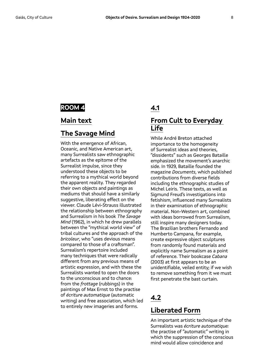#### **ROOM 4**

#### **Main text**

#### **The Savage Mind**

With the emergence of African, Oceanic, and Native American art, many Surrealists saw ethnographic artefacts as the epitome of the Surrealist impulse, since they understood these objects to be referring to a mythical world beyond the apparent reality. They regarded their own objects and paintings as mediums that should have a similarly suggestive, liberating effect on the viewer. Claude Lévi-Strauss illustrated the relationship between ethnography and Surrealism in his book *The Savage Mind* (1962), in which he drew parallels between the "mythical world view" of tribal cultures and the approach of the *bricoleur*, who "uses devious means compared to those of a craftsman". Surrealism's repertoire included many techniques that were radically different from any previous means of artistic expression, and with these the Surrealists wanted to open the doors to the unconscious and to chance: from the *frottage* (rubbings) in the paintings of Max Ernst to the practise of *écriture automatique* (automatic writing) and free association, which led to entirely new imageries and forms.

#### **4.1**

#### **From Cult to Everyday Life**

While André Breton attached importance to the homogeneity of Surrealist ideas and theories, "dissidents" such as Georges Bataille emphasized the movement's anarchic side. In 1929, Bataille founded the magazine *Documents*, which published contributions from diverse fields including the ethnographic studies of Michel Leiris. These texts, as well as Sigmund Freud's investigations into fetishism, influenced many Surrealists in their examination of ethnographic material. Non-Western art, combined with ideas borrowed from Surrealism, still inspire many designers today. The Brazilian brothers Fernando and Humberto Campana, for example, create expressive object sculptures from randomly found materials and explicitly name Surrealism as a point of reference. Their bookcase *Cabana* (2003) at first appears to be an unidentifiable, veiled entity; if we wish to remove something from it we must first penetrate the bast curtain.

#### **4.2**

#### **Liberated Form**

An important artistic technique of the Surrealists was *écriture automatique:* the practise of "automatic" writing in which the suppression of the conscious mind would allow coincidence and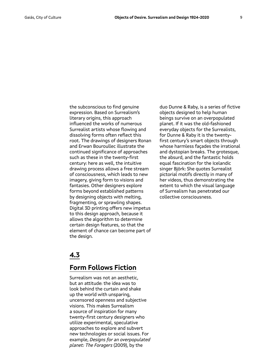the subconscious to find genuine expression. Based on Surrealism's literary origins, this approach influenced the works of numerous Surrealist artists whose flowing and dissolving forms often reflect this root. The drawings of designers Ronan and Erwan Bouroullec illustrate the continued significance of approaches such as these in the twenty-first century: here as well, the intuitive drawing process allows a free stream of consciousness, which leads to new imagery, giving form to visions and fantasies. Other designers explore forms beyond established patterns by designing objects with melting, fragmenting, or sprawling shapes. Digital 3D printing offers new impetus to this design approach, because it allows the algorithm to determine certain design features, so that the element of chance can become part of the design.

#### **4.3**

#### **Form Follows Fiction**

Surrealism was not an aesthetic, but an attitude: the idea was to look behind the curtain and shake up the world with unsparing, uncensored openness and subjective visions. This makes Surrealism a source of inspiration for many twenty-first century designers who utilize experimental, speculative approaches to explore and subvert new technologies or social issues. For example, *Designs for an overpopulated planet: The Foragers* (2009), by the

duo Dunne & Raby, is a series of fictive objects designed to help human beings survive on an overpopulated planet. If it was the old-fashioned everyday objects for the Surrealists, for Dunne & Raby it is the twentyfirst century's smart objects through whose harmless façades the irrational and dystopian breaks. The grotesque, the absurd, and the fantastic holds equal fascination for the Icelandic singer Björk: She quotes Surrealist pictorial motifs directly in many of her videos, thus demonstrating the extent to which the visual language of Surrealism has penetrated our collective consciousness.